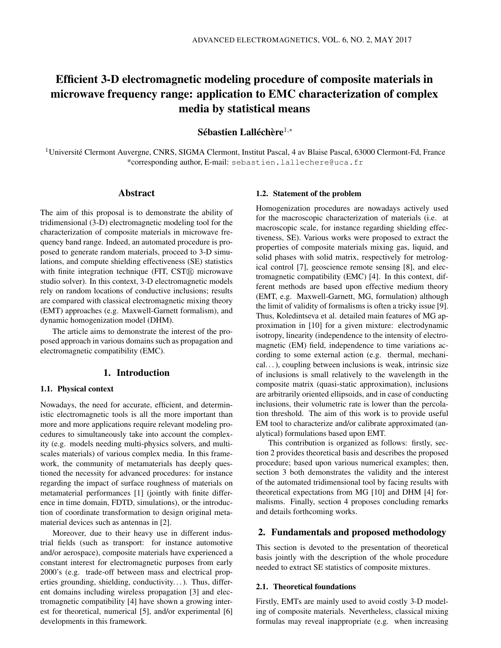# Efficient 3-D electromagnetic modeling procedure of composite materials in microwave frequency range: application to EMC characterization of complex media by statistical means

Sébastien Lalléchère $^{1,*}$ 

 $1$ Université Clermont Auvergne, CNRS, SIGMA Clermont, Institut Pascal, 4 av Blaise Pascal, 63000 Clermont-Fd, France \*corresponding author, E-mail: sebastien.lallechere@uca.fr

# Abstract

The aim of this proposal is to demonstrate the ability of tridimensional (3-D) electromagnetic modeling tool for the characterization of composite materials in microwave frequency band range. Indeed, an automated procedure is proposed to generate random materials, proceed to 3-D simulations, and compute shielding effectiveness (SE) statistics with finite integration technique (FIT,  $\text{CST}(\mathbb{R})$  microwave studio solver). In this context, 3-D electromagnetic models rely on random locations of conductive inclusions; results are compared with classical electromagnetic mixing theory (EMT) approaches (e.g. Maxwell-Garnett formalism), and dynamic homogenization model (DHM).

The article aims to demonstrate the interest of the proposed approach in various domains such as propagation and electromagnetic compatibility (EMC).

# 1. Introduction

## 1.1. Physical context

Nowadays, the need for accurate, efficient, and deterministic electromagnetic tools is all the more important than more and more applications require relevant modeling procedures to simultaneously take into account the complexity (e.g. models needing multi-physics solvers, and multiscales materials) of various complex media. In this framework, the community of metamaterials has deeply questioned the necessity for advanced procedures: for instance regarding the impact of surface roughness of materials on metamaterial performances [1] (jointly with finite difference in time domain, FDTD, simulations), or the introduction of coordinate transformation to design original metamaterial devices such as antennas in [2].

Moreover, due to their heavy use in different industrial fields (such as transport: for instance automotive and/or aerospace), composite materials have experienced a constant interest for electromagnetic purposes from early 2000's (e.g. trade-off between mass and electrical properties grounding, shielding, conductivity...). Thus, different domains including wireless propagation [3] and electromagnetic compatibility [4] have shown a growing interest for theoretical, numerical [5], and/or experimental [6] developments in this framework.

### 1.2. Statement of the problem

Homogenization procedures are nowadays actively used for the macroscopic characterization of materials (i.e. at macroscopic scale, for instance regarding shielding effectiveness, SE). Various works were proposed to extract the properties of composite materials mixing gas, liquid, and solid phases with solid matrix, respectively for metrological control [7], geoscience remote sensing [8], and electromagnetic compatibility (EMC) [4]. In this context, different methods are based upon effective medium theory (EMT, e.g. Maxwell-Garnett, MG, formulation) although the limit of validity of formalisms is often a tricky issue [9]. Thus, Koledintseva et al. detailed main features of MG approximation in [10] for a given mixture: electrodynamic isotropy, linearity (independence to the intensity of electromagnetic (EM) field, independence to time variations according to some external action (e.g. thermal, mechanical. . . ), coupling between inclusions is weak, intrinsic size of inclusions is small relatively to the wavelength in the composite matrix (quasi-static approximation), inclusions are arbitrarily oriented ellipsoids, and in case of conducting inclusions, their volumetric rate is lower than the percolation threshold. The aim of this work is to provide useful EM tool to characterize and/or calibrate approximated (analytical) formulations based upon EMT.

This contribution is organized as follows: firstly, section 2 provides theoretical basis and describes the proposed procedure; based upon various numerical examples; then, section 3 both demonstrates the validity and the interest of the automated tridimensional tool by facing results with theoretical expectations from MG [10] and DHM [4] formalisms. Finally, section 4 proposes concluding remarks and details forthcoming works.

# 2. Fundamentals and proposed methodology

This section is devoted to the presentation of theoretical basis jointly with the description of the whole procedure needed to extract SE statistics of composite mixtures.

#### 2.1. Theoretical foundations

Firstly, EMTs are mainly used to avoid costly 3-D modeling of composite materials. Nevertheless, classical mixing formulas may reveal inappropriate (e.g. when increasing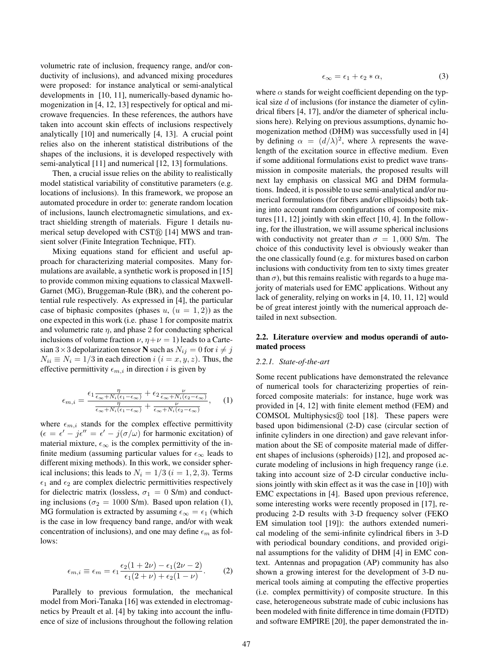volumetric rate of inclusion, frequency range, and/or conductivity of inclusions), and advanced mixing procedures were proposed: for instance analytical or semi-analytical developments in [10, 11], numerically-based dynamic homogenization in [4, 12, 13] respectively for optical and microwave frequencies. In these references, the authors have taken into account skin effects of inclusions respectively analytically [10] and numerically [4, 13]. A crucial point relies also on the inherent statistical distributions of the shapes of the inclusions, it is developed respectively with semi-analytical [11] and numerical [12, 13] formulations.

Then, a crucial issue relies on the ability to realistically model statistical variability of constitutive parameters (e.g. locations of inclusions). In this framework, we propose an automated procedure in order to: generate random location of inclusions, launch electromagnetic simulations, and extract shielding strength of materials. Figure 1 details numerical setup developed with  $\text{CST}(\widehat{R})$  [14] MWS and transient solver (Finite Integration Technique, FIT).

Mixing equations stand for efficient and useful approach for characterizing material composites. Many formulations are available, a synthetic work is proposed in [15] to provide common mixing equations to classical Maxwell-Garnet (MG), Bruggeman-Rule (BR), and the coherent potential rule respectively. As expressed in [4], the particular case of biphasic composites (phases  $u, (u = 1, 2)$ ) as the one expected in this work (i.e. phase 1 for composite matrix and volumetric rate  $\eta$ , and phase 2 for conducting spherical inclusions of volume fraction  $\nu$ ,  $\eta + \nu = 1$ ) leads to a Cartesian 3 × 3 depolarization tensor N such as  $N_{ij} = 0$  for  $i \neq j$  $N_{ii} \equiv N_i = 1/3$  in each direction  $i$   $(i = x, y, z)$ . Thus, the effective permittivity  $\epsilon_{m,i}$  in direction i is given by

$$
\epsilon_{m,i} = \frac{\epsilon_1 \frac{\eta}{\epsilon_{\infty} + N_i(\epsilon_1 - \epsilon_{\infty})} + \epsilon_2 \frac{\nu}{\epsilon_{\infty} + N_i(\epsilon_2 - \epsilon_{\infty})}}{\frac{\eta}{\epsilon_{\infty} + N_i(\epsilon_1 - \epsilon_{\infty})} + \frac{\nu}{\epsilon_{\infty} + N_i(\epsilon_2 - \epsilon_{\infty})}}, \quad (1)
$$

where  $\epsilon_{m,i}$  stands for the complex effective permittivity  $(\epsilon = \epsilon' - j\epsilon' = \epsilon' - j(\sigma/\omega)$  for harmonic excitation) of material mixture,  $\epsilon_{\infty}$  is the complex permittivity of the infinite medium (assuming particular values for  $\epsilon_{\infty}$  leads to different mixing methods). In this work, we consider spherical inclusions; this leads to  $N_i = 1/3$   $(i = 1, 2, 3)$ . Terms  $\epsilon_1$  and  $\epsilon_2$  are complex dielectric permittivities respectively for dielectric matrix (lossless,  $\sigma_1 = 0$  S/m) and conducting inclusions ( $\sigma_2 = 1000$  S/m). Based upon relation (1), MG formulation is extracted by assuming  $\epsilon_{\infty} = \epsilon_1$  (which is the case in low frequency band range, and/or with weak concentration of inclusions), and one may define  $\epsilon_m$  as follows:

$$
\epsilon_{m,i} \equiv \epsilon_m = \epsilon_1 \frac{\epsilon_2 (1 + 2\nu) - \epsilon_1 (2\nu - 2)}{\epsilon_1 (2 + \nu) + \epsilon_2 (1 - \nu)}.
$$
 (2)

Parallely to previous formulation, the mechanical model from Mori-Tanaka [16] was extended in electromagnetics by Preault et al. [4] by taking into account the influence of size of inclusions throughout the following relation

$$
\epsilon_{\infty} = \epsilon_1 + \epsilon_2 * \alpha,\tag{3}
$$

where  $\alpha$  stands for weight coefficient depending on the typical size d of inclusions (for instance the diameter of cylindrical fibers [4, 17], and/or the diameter of spherical inclusions here). Relying on previous assumptions, dynamic homogenization method (DHM) was successfully used in [4] by defining  $\alpha = (d/\lambda)^2$ , where  $\lambda$  represents the wavelength of the excitation source in effective medium. Even if some additional formulations exist to predict wave transmission in composite materials, the proposed results will next lay emphasis on classical MG and DHM formulations. Indeed, it is possible to use semi-analytical and/or numerical formulations (for fibers and/or ellipsoids) both taking into account random configurations of composite mixtures [11, 12] jointly with skin effect [10, 4]. In the following, for the illustration, we will assume spherical inclusions with conductivity not greater than  $\sigma = 1,000$  S/m. The choice of this conductivity level is obviously weaker than the one classically found (e.g. for mixtures based on carbon inclusions with conductivity from ten to sixty times greater than  $\sigma$ ), but this remains realistic with regards to a huge majority of materials used for EMC applications. Without any lack of generality, relying on works in [4, 10, 11, 12] would be of great interest jointly with the numerical approach detailed in next subsection.

# 2.2. Literature overview and modus operandi of automated process

#### *2.2.1. State-of-the-art*

Some recent publications have demonstrated the relevance of numerical tools for characterizing properties of reinforced composite materials: for instance, huge work was provided in [4, 12] with finite element method (FEM) and COMSOL Multiphysics $\circledR$  tool [18]. These papers were based upon bidimensional (2-D) case (circular section of infinite cylinders in one direction) and gave relevant information about the SE of composite material made of different shapes of inclusions (spheroids) [12], and proposed accurate modeling of inclusions in high frequency range (i.e. taking into account size of 2-D circular conductive inclusions jointly with skin effect as it was the case in [10]) with EMC expectations in [4]. Based upon previous reference, some interesting works were recently proposed in [17], reproducing 2-D results with 3-D frequency solver (FEKO EM simulation tool [19]): the authors extended numerical modeling of the semi-infinite cylindrical fibers in 3-D with periodical boundary conditions, and provided original assumptions for the validity of DHM [4] in EMC context. Antennas and propagation (AP) community has also shown a growing interest for the development of 3-D numerical tools aiming at computing the effective properties (i.e. complex permittivity) of composite structure. In this case, heterogeneous substrate made of cubic inclusions has been modeled with finite difference in time domain (FDTD) and software EMPIRE [20], the paper demonstrated the in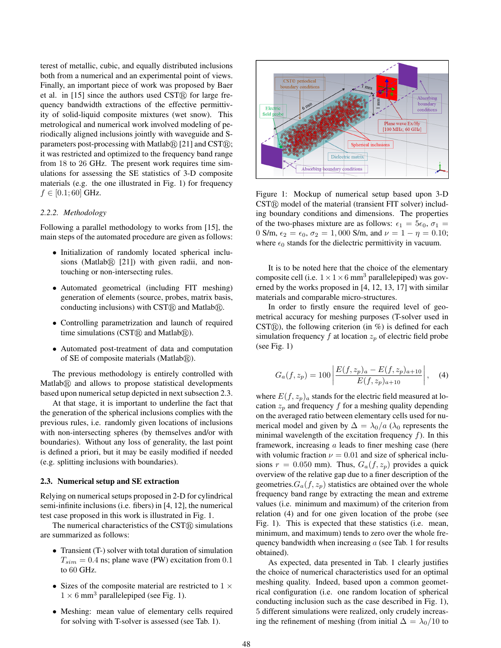terest of metallic, cubic, and equally distributed inclusions both from a numerical and an experimental point of views. Finally, an important piece of work was proposed by Baer et al. in  $[15]$  since the authors used CST $\widehat{R}$  for large frequency bandwidth extractions of the effective permittivity of solid-liquid composite mixtures (wet snow). This metrological and numerical work involved modeling of periodically aligned inclusions jointly with waveguide and Sparameters post-processing with Matlab $\mathcal{R}$  [21] and CST $\mathcal{R}$ ; it was restricted and optimized to the frequency band range from 18 to 26 GHz. The present work requires time simulations for assessing the SE statistics of 3-D composite materials (e.g. the one illustrated in Fig. 1) for frequency  $f \in [0.1; 60]$  GHz.

#### *2.2.2. Methodology*

Following a parallel methodology to works from [15], the main steps of the automated procedure are given as follows:

- Initialization of randomly located spherical inclusions (Matlab $\Omega$  [21]) with given radii, and nontouching or non-intersecting rules.
- Automated geometrical (including FIT meshing) generation of elements (source, probes, matrix basis, conducting inclusions) with  $\text{CST}(\overline{\mathbb{R}})$  and Matlab $\overline{\mathbb{R}}$ .
- Controlling parametrization and launch of required time simulations (CST $\mathbb Q$ ) and Matlab $\mathbb Q$ ).
- Automated post-treatment of data and computation of SE of composite materials (Matlab $\mathcal{R}$ ).

The previous methodology is entirely controlled with  $Matlab@$  and allows to propose statistical developments based upon numerical setup depicted in next subsection 2.3.

At that stage, it is important to underline the fact that the generation of the spherical inclusions complies with the previous rules, i.e. randomly given locations of inclusions with non-intersecting spheres (by themselves and/or with boundaries). Without any loss of generality, the last point is defined a priori, but it may be easily modified if needed (e.g. splitting inclusions with boundaries).

#### 2.3. Numerical setup and SE extraction

Relying on numerical setups proposed in 2-D for cylindrical semi-infinite inclusions (i.e. fibers) in [4, 12], the numerical test case proposed in this work is illustrated in Fig. 1.

The numerical characteristics of the  $\text{CST}(\text{\textsc{R}})$  simulations are summarized as follows:

- Transient (T-) solver with total duration of simulation  $T_{sim} = 0.4$  ns; plane wave (PW) excitation from 0.1 to 60 GHz.
- Sizes of the composite material are restricted to  $1 \times$  $1 \times 6$  mm<sup>3</sup> parallelepiped (see Fig. 1).
- Meshing: mean value of elementary cells required for solving with T-solver is assessed (see Tab. 1).



Figure 1: Mockup of numerical setup based upon 3-D  $CST(\widehat{R})$  model of the material (transient FIT solver) including boundary conditions and dimensions. The properties of the two-phases mixture are as follows:  $\epsilon_1 = 5\epsilon_0$ ,  $\sigma_1 =$ 0 S/m,  $\epsilon_2 = \epsilon_0$ ,  $\sigma_2 = 1$ , 000 S/m, and  $\nu = 1 - \eta = 0.10$ ; where  $\epsilon_0$  stands for the dielectric permittivity in vacuum.

It is to be noted here that the choice of the elementary composite cell (i.e.  $1 \times 1 \times 6$  mm<sup>3</sup> parallelepiped) was governed by the works proposed in [4, 12, 13, 17] with similar materials and comparable micro-structures.

In order to firstly ensure the required level of geometrical accuracy for meshing purposes (T-solver used in  $\text{CST}(\widehat{R})$ , the following criterion (in %) is defined for each simulation frequency  $f$  at location  $z_p$  of electric field probe (see Fig. 1)

$$
G_a(f, z_p) = 100 \left| \frac{E(f, z_p)_a - E(f, z_p)_{a+10}}{E(f, z_p)_{a+10}} \right|, \quad (4)
$$

where  $E(f, z_p)_a$  stands for the electric field measured at location  $z_p$  and frequency f for a meshing quality depending on the averaged ratio between elementary cells used for numerical model and given by  $\Delta = \lambda_0/a$  ( $\lambda_0$  represents the minimal wavelength of the excitation frequency  $f$ ). In this framework, increasing  $a$  leads to finer meshing case (here with volumic fraction  $\nu = 0.01$  and size of spherical inclusions  $r = 0.050$  mm). Thus,  $G_a(f, z_p)$  provides a quick overview of the relative gap due to a finer description of the geometries. $G_a(f, z_p)$  statistics are obtained over the whole frequency band range by extracting the mean and extreme values (i.e. minimum and maximum) of the criterion from relation (4) and for one given location of the probe (see Fig. 1). This is expected that these statistics (i.e. mean, minimum, and maximum) tends to zero over the whole frequency bandwidth when increasing  $a$  (see Tab. 1 for results obtained).

As expected, data presented in Tab. 1 clearly justifies the choice of numerical characteristics used for an optimal meshing quality. Indeed, based upon a common geometrical configuration (i.e. one random location of spherical conducting inclusion such as the case described in Fig. 1), 5 different simulations were realized, only crudely increasing the refinement of meshing (from initial  $\Delta = \lambda_0/10$  to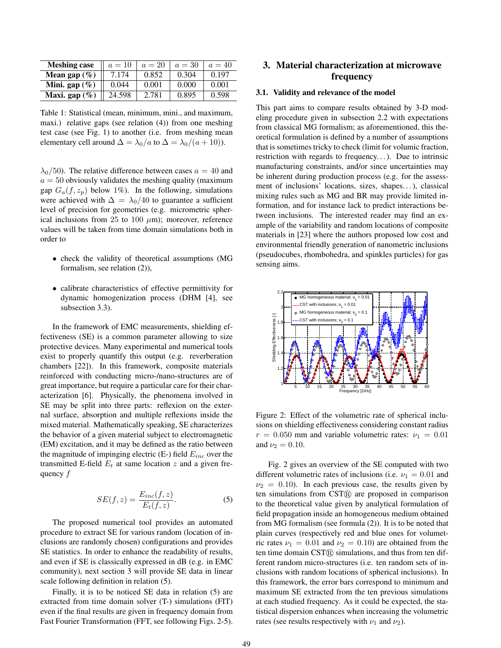| <b>Meshing case</b> | $a=10$ | $a=20$ | $a=30$ | $a = 40$ |
|---------------------|--------|--------|--------|----------|
| Mean gap $(\%)$     | 7.174  | 0.852  | 0.304  | 0.197    |
| Mini. gap $(\%)$    | 0.044  | 0.001  | 0.000  | 0.001    |
| Maxi. gap $(\%)$    | 24.598 | 2.781  | 0.895  | 0.598    |

Table 1: Statistical (mean, minimum, mini., and maximum, maxi.) relative gaps (see relation (4)) from one meshing test case (see Fig. 1) to another (i.e. from meshing mean elementary cell around  $\Delta = \lambda_0/a$  to  $\Delta = \lambda_0/(a+10)$ ).

 $\lambda_0$ /50). The relative difference between cases  $a = 40$  and  $a = 50$  obviously validates the meshing quality (maximum gap  $G_a(f, z_p)$  below 1%). In the following, simulations were achieved with  $\Delta = \lambda_0/40$  to guarantee a sufficient level of precision for geometries (e.g. micrometric spherical inclusions from 25 to 100  $\mu$ m); moreover, reference values will be taken from time domain simulations both in order to

- check the validity of theoretical assumptions (MG formalism, see relation (2)),
- calibrate characteristics of effective permittivity for dynamic homogenization process (DHM [4], see subsection 3.3).

In the framework of EMC measurements, shielding effectiveness (SE) is a common parameter allowing to size protective devices. Many experimental and numerical tools exist to properly quantify this output (e.g. reverberation chambers [22]). In this framework, composite materials reinforced with conducting micro-/nano-structures are of great importance, but require a particular care for their characterization [6]. Physically, the phenomena involved in SE may be split into three parts: reflexion on the external surface, absorption and multiple reflexions inside the mixed material. Mathematically speaking, SE characterizes the behavior of a given material subject to electromagnetic (EM) excitation, and it may be defined as the ratio between the magnitude of impinging electric (E-) field  $E_{inc}$  over the transmitted E-field  $E_t$  at same location z and a given frequency f

$$
SE(f, z) = \frac{E_{inc}(f, z)}{E_t(f, z)}.
$$
\n(5)

The proposed numerical tool provides an automated procedure to extract SE for various random (location of inclusions are randomly chosen) configurations and provides SE statistics. In order to enhance the readability of results, and even if SE is classically expressed in dB (e.g. in EMC community), next section 3 will provide SE data in linear scale following definition in relation (5).

Finally, it is to be noticed SE data in relation (5) are extracted from time domain solver (T-) simulations (FIT) even if the final results are given in frequency domain from Fast Fourier Transformation (FFT, see following Figs. 2-5).

# 3. Material characterization at microwave frequency

#### 3.1. Validity and relevance of the model

This part aims to compare results obtained by 3-D modeling procedure given in subsection 2.2 with expectations from classical MG formalism; as aforementioned, this theoretical formulation is defined by a number of assumptions that is sometimes tricky to check (limit for volumic fraction, restriction with regards to frequency...). Due to intrinsic manufacturing constraints, and/or since uncertainties may be inherent during production process (e.g. for the assessment of inclusions' locations, sizes, shapes. . . ), classical mixing rules such as MG and BR may provide limited information, and for instance lack to predict interactions between inclusions. The interested reader may find an example of the variability and random locations of composite materials in [23] where the authors proposed low cost and environmental friendly generation of nanometric inclusions (pseudocubes, rhombohedra, and spinkles particles) for gas sensing aims.



Figure 2: Effect of the volumetric rate of spherical inclusions on shielding effectiveness considering constant radius  $r = 0.050$  mm and variable volumetric rates:  $\nu_1 = 0.01$ and  $\nu_2 = 0.10$ .

Fig. 2 gives an overview of the SE computed with two different volumetric rates of inclusions (i.e.  $\nu_1 = 0.01$  and  $\nu_2 = 0.10$ ). In each previous case, the results given by ten simulations from  $\text{CST}(\widehat{R})$  are proposed in comparison to the theoretical value given by analytical formulation of field propagation inside an homogeneous medium obtained from MG formalism (see formula (2)). It is to be noted that plain curves (respectively red and blue ones for volumetric rates  $\nu_1 = 0.01$  and  $\nu_2 = 0.10$  are obtained from the ten time domain CST® simulations, and thus from ten different random micro-structures (i.e. ten random sets of inclusions with random locations of spherical inclusions). In this framework, the error bars correspond to minimum and maximum SE extracted from the ten previous simulations at each studied frequency. As it could be expected, the statistical dispersion enhances when increasing the volumetric rates (see results respectively with  $\nu_1$  and  $\nu_2$ ).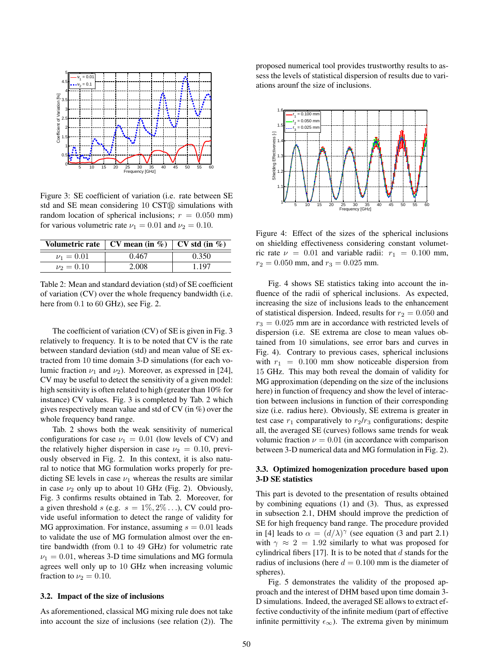

Figure 3: SE coefficient of variation (i.e. rate between SE std and SE mean considering  $10 \text{ CST} \odot$  simulations with random location of spherical inclusions;  $r = 0.050$  mm) for various volumetric rate  $\nu_1 = 0.01$  and  $\nu_2 = 0.10$ .

|                | Volumetric rate   CV mean (in %)   CV std (in %) |         |  |
|----------------|--------------------------------------------------|---------|--|
| $\nu_1 = 0.01$ | 0.467                                            | 0.350   |  |
| $\nu_2 = 0.10$ | 2.008                                            | 1 1 9 7 |  |

Table 2: Mean and standard deviation (std) of SE coefficient of variation (CV) over the whole frequency bandwidth (i.e. here from  $0.1$  to  $60$  GHz), see Fig. 2.

The coefficient of variation (CV) of SE is given in Fig. 3 relatively to frequency. It is to be noted that CV is the rate between standard deviation (std) and mean value of SE extracted from 10 time domain 3-D simulations (for each volumic fraction  $\nu_1$  and  $\nu_2$ ). Moreover, as expressed in [24], CV may be useful to detect the sensitivity of a given model: high sensitivity is often related to high (greater than 10% for instance) CV values. Fig. 3 is completed by Tab. 2 which gives respectively mean value and std of CV (in %) over the whole frequency band range.

Tab. 2 shows both the weak sensitivity of numerical configurations for case  $\nu_1 = 0.01$  (low levels of CV) and the relatively higher dispersion in case  $\nu_2 = 0.10$ , previously observed in Fig. 2. In this context, it is also natural to notice that MG formulation works properly for predicting SE levels in case  $\nu_1$  whereas the results are similar in case  $\nu_2$  only up to about 10 GHz (Fig. 2). Obviously, Fig. 3 confirms results obtained in Tab. 2. Moreover, for a given threshold s (e.g.  $s = 1\%, 2\%, \ldots$ ), CV could provide useful information to detect the range of validity for MG approximation. For instance, assuming  $s = 0.01$  leads to validate the use of MG formulation almost over the entire bandwidth (from 0.1 to 49 GHz) for volumetric rate  $\nu_1 = 0.01$ , whereas 3-D time simulations and MG formula agrees well only up to 10 GHz when increasing volumic fraction to  $\nu_2 = 0.10$ .

# 3.2. Impact of the size of inclusions

As aforementioned, classical MG mixing rule does not take into account the size of inclusions (see relation (2)). The proposed numerical tool provides trustworthy results to assess the levels of statistical dispersion of results due to variations arounf the size of inclusions.



Figure 4: Effect of the sizes of the spherical inclusions on shielding effectiveness considering constant volumetric rate  $\nu = 0.01$  and variable radii:  $r_1 = 0.100$  mm,  $r_2 = 0.050$  mm, and  $r_3 = 0.025$  mm.

Fig. 4 shows SE statistics taking into account the influence of the radii of spherical inclusions. As expected, increasing the size of inclusions leads to the enhancement of statistical dispersion. Indeed, results for  $r_2 = 0.050$  and  $r_3 = 0.025$  mm are in accordance with restricted levels of dispersion (i.e. SE extrema are close to mean values obtained from 10 simulations, see error bars and curves in Fig. 4). Contrary to previous cases, spherical inclusions with  $r_1 = 0.100$  mm show noticeable dispersion from 15 GHz. This may both reveal the domain of validity for MG approximation (depending on the size of the inclusions here) in function of frequency and show the level of interaction between inclusions in function of their corresponding size (i.e. radius here). Obviously, SE extrema is greater in test case  $r_1$  comparatively to  $r_2/r_3$  configurations; despite all, the averaged SE (curves) follows same trends for weak volumic fraction  $\nu = 0.01$  (in accordance with comparison between 3-D numerical data and MG formulation in Fig. 2).

## 3.3. Optimized homogenization procedure based upon 3-D SE statistics

This part is devoted to the presentation of results obtained by combining equations (1) and (3). Thus, as expressed in subsection 2.1, DHM should improve the prediction of SE for high frequency band range. The procedure provided in [4] leads to  $\alpha = (d/\lambda)^\gamma$  (see equation (3 and part 2.1) with  $\gamma \approx 2 = 1.92$  similarly to what was proposed for cylindrical fibers [17]. It is to be noted that  $d$  stands for the radius of inclusions (here  $d = 0.100$  mm is the diameter of spheres).

Fig. 5 demonstrates the validity of the proposed approach and the interest of DHM based upon time domain 3- D simulations. Indeed, the averaged SE allows to extract effective conductivity of the infinite medium (part of effective infinite permittivity  $\epsilon_{\infty}$ ). The extrema given by minimum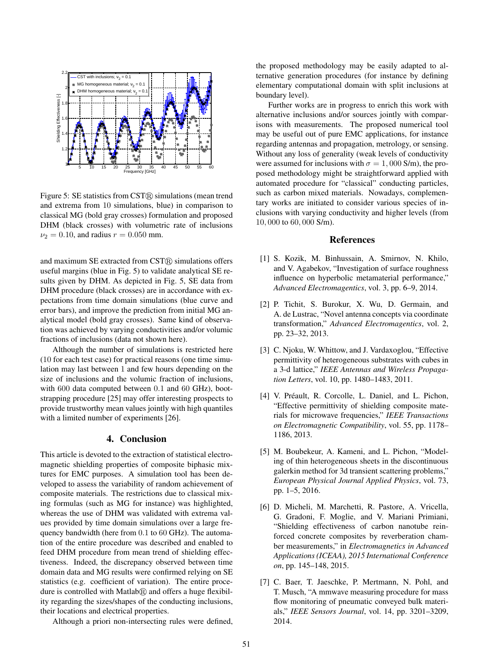

Figure 5: SE statistics from  $\text{CST}(\widehat{\mathbb{R}})$  simulations (mean trend and extrema from 10 simulations, blue) in comparison to classical MG (bold gray crosses) formulation and proposed DHM (black crosses) with volumetric rate of inclusions  $\nu_2 = 0.10$ , and radius  $r = 0.050$  mm.

and maximum SE extracted from  $\text{CST}(\widehat{\text{R}})$  simulations offers useful margins (blue in Fig. 5) to validate analytical SE results given by DHM. As depicted in Fig. 5, SE data from DHM procedure (black crosses) are in accordance with expectations from time domain simulations (blue curve and error bars), and improve the prediction from initial MG analytical model (bold gray crosses). Same kind of observation was achieved by varying conductivities and/or volumic fractions of inclusions (data not shown here).

Although the number of simulations is restricted here (10 for each test case) for practical reasons (one time simulation may last between 1 and few hours depending on the size of inclusions and the volumic fraction of inclusions, with 600 data computed between 0.1 and 60 GHz), bootstrapping procedure [25] may offer interesting prospects to provide trustworthy mean values jointly with high quantiles with a limited number of experiments [26].

# 4. Conclusion

This article is devoted to the extraction of statistical electromagnetic shielding properties of composite biphasic mixtures for EMC purposes. A simulation tool has been developed to assess the variability of random achievement of composite materials. The restrictions due to classical mixing formulas (such as MG for instance) was highlighted, whereas the use of DHM was validated with extrema values provided by time domain simulations over a large frequency bandwidth (here from 0.1 to 60 GHz). The automation of the entire procedure was described and enabled to feed DHM procedure from mean trend of shielding effectiveness. Indeed, the discrepancy observed between time domain data and MG results were confirmed relying on SE statistics (e.g. coefficient of variation). The entire procedure is controlled with Matlab $\Omega$  and offers a huge flexibility regarding the sizes/shapes of the conducting inclusions, their locations and electrical properties.

Although a priori non-intersecting rules were defined,

the proposed methodology may be easily adapted to alternative generation procedures (for instance by defining elementary computational domain with split inclusions at boundary level).

Further works are in progress to enrich this work with alternative inclusions and/or sources jointly with comparisons with measurements. The proposed numerical tool may be useful out of pure EMC applications, for instance regarding antennas and propagation, metrology, or sensing. Without any loss of generality (weak levels of conductivity were assumed for inclusions with  $\sigma = 1,000$  S/m), the proposed methodology might be straightforward applied with automated procedure for "classical" conducting particles, such as carbon mixed materials. Nowadays, complementary works are initiated to consider various species of inclusions with varying conductivity and higher levels (from 10, 000 to 60, 000 S/m).

# References

- [1] S. Kozik, M. Binhussain, A. Smirnov, N. Khilo, and V. Agabekov, "Investigation of surface roughness influence on hyperbolic metamaterial performance," *Advanced Electromagentics*, vol. 3, pp. 6–9, 2014.
- [2] P. Tichit, S. Burokur, X. Wu, D. Germain, and A. de Lustrac, "Novel antenna concepts via coordinate transformation," *Advanced Electromagentics*, vol. 2, pp. 23–32, 2013.
- [3] C. Njoku, W. Whittow, and J. Vardaxoglou, "Effective permittivity of heterogeneous substrates with cubes in a 3-d lattice," *IEEE Antennas and Wireless Propagation Letters*, vol. 10, pp. 1480–1483, 2011.
- [4] V. Préault, R. Corcolle, L. Daniel, and L. Pichon, "Effective permittivity of shielding composite materials for microwave frequencies," *IEEE Transactions on Electromagnetic Compatibility*, vol. 55, pp. 1178– 1186, 2013.
- [5] M. Boubekeur, A. Kameni, and L. Pichon, "Modeling of thin heterogeneous sheets in the discontinuous galerkin method for 3d transient scattering problems," *European Physical Journal Applied Physics*, vol. 73, pp. 1–5, 2016.
- [6] D. Micheli, M. Marchetti, R. Pastore, A. Vricella, G. Gradoni, F. Moglie, and V. Mariani Primiani, "Shielding effectiveness of carbon nanotube reinforced concrete composites by reverberation chamber measurements," in *Electromagnetics in Advanced Applications (ICEAA), 2015 International Conference on*, pp. 145–148, 2015.
- [7] C. Baer, T. Jaeschke, P. Mertmann, N. Pohl, and T. Musch, "A mmwave measuring procedure for mass flow monitoring of pneumatic conveyed bulk materials," *IEEE Sensors Journal*, vol. 14, pp. 3201–3209, 2014.